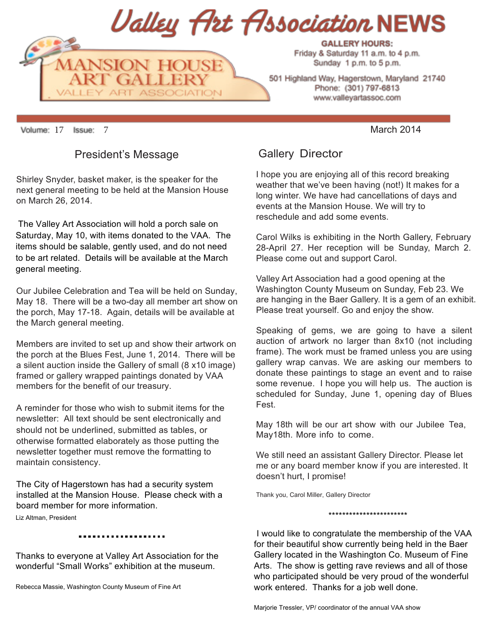

Sunday 1 p.m. to 5 p.m.

501 Highland Way, Hagerstown, Maryland 21740 Phone: (301) 797-6813 www.valleyartassoc.com

Volume: 17 Issue: 7 Narch 2014

## President's Message

Shirley Snyder, basket maker, is the speaker for the next general meeting to be held at the Mansion House on March 26, 2014.

 The Valley Art Association will hold a porch sale on Saturday, May 10, with items donated to the VAA. The items should be salable, gently used, and do not need to be art related. Details will be available at the March general meeting.

Our Jubilee Celebration and Tea will be held on Sunday, May 18. There will be a two-day all member art show on the porch, May 17-18. Again, details will be available at the March general meeting.

Members are invited to set up and show their artwork on the porch at the Blues Fest, June 1, 2014. There will be a silent auction inside the Gallery of small (8 x10 image) framed or gallery wrapped paintings donated by VAA members for the benefit of our treasury.

A reminder for those who wish to submit items for the newsletter: All text should be sent electronically and should not be underlined, submitted as tables, or otherwise formatted elaborately as those putting the newsletter together must remove the formatting to maintain consistency.

The City of Hagerstown has had a security system installed at the Mansion House. Please check with a board member for more information.

Liz Altman, President

Thanks to everyone at Valley Art Association for the wonderful "Small Works" exhibition at the museum.

Rebecca Massie, Washington County Museum of Fine Art

Gallery Director

I hope you are enjoying all of this record breaking weather that we've been having (not!) It makes for a long winter. We have had cancellations of days and events at the Mansion House. We will try to reschedule and add some events.

Carol Wilks is exhibiting in the North Gallery, February 28-April 27. Her reception will be Sunday, March 2. Please come out and support Carol.

Valley Art Association had a good opening at the Washington County Museum on Sunday, Feb 23. We are hanging in the Baer Gallery. It is a gem of an exhibit. Please treat yourself. Go and enjoy the show.

Speaking of gems, we are going to have a silent auction of artwork no larger than 8x10 (not including frame). The work must be framed unless you are using gallery wrap canvas. We are asking our members to donate these paintings to stage an event and to raise some revenue. I hope you will help us. The auction is scheduled for Sunday, June 1, opening day of Blues Fest.

May 18th will be our art show with our Jubilee Tea, May18th. More info to come.

We still need an assistant Gallery Director. Please let me or any board member know if you are interested. It doesn't hurt, I promise!

Thank you, Carol Miller, Gallery Director

\*\*\*\*\*\*\*\*\*\*\*\*\*\*\*\*\*\*\*\*\*\*\*

I would like to congratulate the membership of the VAA for their beautiful show currently being held in the Baer Gallery located in the Washington Co. Museum of Fine Arts. The show is getting rave reviews and all of those who participated should be very proud of the wonderful work entered. Thanks for a job well done.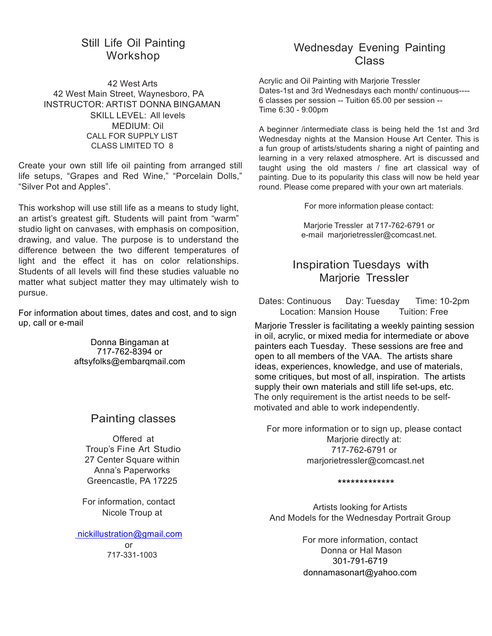# Still Life Oil Painting Workshop

42 West Arts 42 West Main Street, Waynesboro, PA INSTRUCTOR: ARTIST DONNA BINGAMAN SKILL LEVEL: All levels MEDIUM: Oil CALL FOR SUPPLY LIST CLASS LIMITED TO 8

Create your own still life oil painting from arranged still life setups, "Grapes and Red Wine," "Porcelain Dolls," "Silver Pot and Apples".

This workshop will use still life as a means to study light, an artist's greatest gift. Students will paint from "warm" studio light on canvases, with emphasis on composition, drawing, and value. The purpose is to understand the difference between the two different temperatures of light and the effect it has on color relationships. Students of all levels will find these studies valuable no matter what subject matter they may ultimately wish to pursue.

For information about times, dates and cost, and to sign up, call or e-mail

> Donna Bingaman at 717-762-8394 or aftsyfolks@embarqmail.com

# Painting classes

Offered at Troup's Fine Art Studio 27 Center Square within Anna's Paperworks Greencastle, PA 17225

For information, contact Nicole Troup at

 nickillustration@gmail.com or 717-331-1003

# Wednesday Evening Painting Class

Acrylic and Oil Painting with Marjorie Tressler Dates-1st and 3rd Wednesdays each month/ continuous---- 6 classes per session -- Tuition 65.00 per session -- Time 6:30 - 9:00pm

A beginner /intermediate class is being held the 1st and 3rd Wednesday nights at the Mansion House Art Center. This is a fun group of artists/students sharing a night of painting and learning in a very relaxed atmosphere. Art is discussed and taught using the old masters / fine art classical way of painting. Due to its popularity this class will now be held year round. Please come prepared with your own art materials.

For more information please contact:

Marjorie Tressler at 717-762-6791 or e-mail marjorietressler@comcast.net.

# Inspiration Tuesdays with Marjorie Tressler

Dates: Continuous Day: Tuesday Time: 10-2pm Location: Mansion House Tuition: Free

Marjorie Tressler is facilitating a weekly painting session in oil, acrylic, or mixed media for intermediate or above painters each Tuesday. These sessions are free and open to all members of the VAA. The artists share ideas, experiences, knowledge, and use of materials, some critiques, but most of all, inspiration. The artists supply their own materials and still life set-ups, etc. The only requirement is the artist needs to be selfmotivated and able to work independently.

For more information or to sign up, please contact Marjorie directly at: 717-762-6791 or marjorietressler@comcast.net

\*\*\*\*\*\*\*\*\*\*\*\*\*

Artists looking for Artists And Models for the Wednesday Portrait Group

> For more information, contact Donna or Hal Mason 301-791-6719 donnamasonart@yahoo.com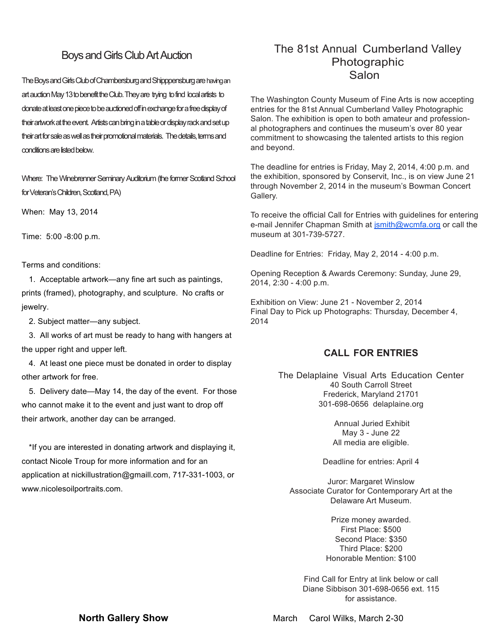## Boys and Girls Club Art Auction

The Boys and Girls Club of Chambersburg and Shipppensburg are having an artauction May 13 to benefit the Club. They are trying to find local artists to donate at least one piece to be auctioned off in exchange for a free display of their artwork at the event. Artists can bring in a table or display rack and set up their art for sale as well as their promotional materials. The details, terms and conditions are listed below.

Where: The Winebrenner Seminary Auditorium (the former Scotland School for Veteran's Children, Scotland, PA)

When: May 13, 2014

Time: 5:00 -8:00 p.m.

Terms and conditions:

1. Acceptable artwork—any fine art such as paintings, prints (framed), photography, and sculpture. No crafts or jewelry.

2. Subject matter—any subject.

3. All works of art must be ready to hang with hangers at the upper right and upper left.

4. At least one piece must be donated in order to display other artwork for free.

5. Delivery date—May 14, the day of the event. For those who cannot make it to the event and just want to drop off their artwork, another day can be arranged.

\*If you are interested in donating artwork and displaying it, contact Nicole Troup for more information and for an application at nickillustration@gmaill.com, 717-331-1003, or www.nicolesoilportraits.com.

# The 81st Annual Cumberland Valley Photographic Salon

The Washington County Museum of Fine Arts is now accepting entries for the 81st Annual Cumberland Valley Photographic Salon. The exhibition is open to both amateur and professional photographers and continues the museum's over 80 year commitment to showcasing the talented artists to this region and beyond.

The deadline for entries is Friday, May 2, 2014, 4:00 p.m. and the exhibition, sponsored by Conservit, Inc., is on view June 21 through November 2, 2014 in the museum's Bowman Concert Gallery.

To receive the official Call for Entries with guidelines for entering e-mail Jennifer Chapman Smith at jsmith@wcmfa.org or call the museum at 301-739-5727.

Deadline for Entries: Friday, May 2, 2014 - 4:00 p.m.

Opening Reception & Awards Ceremony: Sunday, June 29, 2014, 2:30 - 4:00 p.m.

Exhibition on View: June 21 - November 2, 2014 Final Day to Pick up Photographs: Thursday, December 4, 2014

#### **CALL FOR ENTRIES**

The Delaplaine Visual Arts Education Center 40 South Carroll Street Frederick, Maryland 21701 301-698-0656 delaplaine.org

> Annual Juried Exhibit May 3 - June 22 All media are eligible.

Deadline for entries: April 4

Juror: Margaret Winslow Associate Curator for Contemporary Art at the Delaware Art Museum.

> Prize money awarded. First Place: \$500 Second Place: \$350 Third Place: \$200 Honorable Mention: \$100

Find Call for Entry at link below or call Diane Sibbison 301-698-0656 ext. 115 for assistance.

**North Gallery Show March Carol Wilks, March 2-30**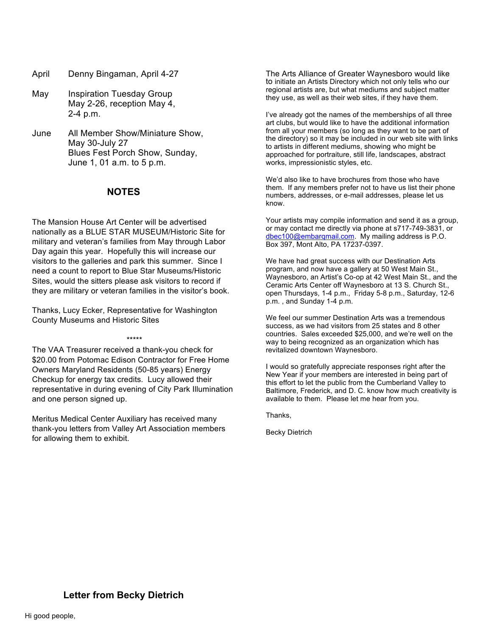- April Denny Bingaman, April 4-27
- May Inspiration Tuesday Group May 2-26, reception May 4, 2-4 p.m.
- June All Member Show/Miniature Show, May 30-July 27 Blues Fest Porch Show, Sunday, June 1, 01 a.m. to 5 p.m.

#### **NOTES**

The Mansion House Art Center will be advertised nationally as a BLUE STAR MUSEUM/Historic Site for military and veteran's families from May through Labor Day again this year. Hopefully this will increase our visitors to the galleries and park this summer. Since I need a count to report to Blue Star Museums/Historic Sites, would the sitters please ask visitors to record if they are military or veteran families in the visitor's book.

Thanks, Lucy Ecker, Representative for Washington County Museums and Historic Sites

The VAA Treasurer received a thank-you check for \$20.00 from Potomac Edison Contractor for Free Home Owners Maryland Residents (50-85 years) Energy Checkup for energy tax credits. Lucy allowed their representative in during evening of City Park Illumination and one person signed up.

\*\*\*\*\*

Meritus Medical Center Auxiliary has received many thank-you letters from Valley Art Association members for allowing them to exhibit.

The Arts Alliance of Greater Waynesboro would like to initiate an Artists Directory which not only tells who our regional artists are, but what mediums and subject matter they use, as well as their web sites, if they have them.

I've already got the names of the memberships of all three art clubs, but would like to have the additional information from all your members (so long as they want to be part of the directory) so it may be included in our web site with links to artists in different mediums, showing who might be approached for portraiture, still life, landscapes, abstract works, impressionistic styles, etc.

We'd also like to have brochures from those who have them. If any members prefer not to have us list their phone numbers, addresses, or e-mail addresses, please let us know.

Your artists may compile information and send it as a group, or may contact me directly via phone at s717-749-3831, or dbec100@embarqmail.com. My mailing address is P.O. Box 397, Mont Alto, PA 17237-0397.

We have had great success with our Destination Arts program, and now have a gallery at 50 West Main St., Waynesboro, an Artist's Co-op at 42 West Main St., and the Ceramic Arts Center off Waynesboro at 13 S. Church St., open Thursdays, 1-4 p.m., Friday 5-8 p.m., Saturday, 12-6 p.m. , and Sunday 1-4 p.m.

We feel our summer Destination Arts was a tremendous success, as we had visitors from 25 states and 8 other countries. Sales exceeded \$25,000, and we're well on the way to being recognized as an organization which has revitalized downtown Waynesboro.

I would so gratefully appreciate responses right after the New Year if your members are interested in being part of this effort to let the public from the Cumberland Valley to Baltimore, Frederick, and D. C. know how much creativity is available to them. Please let me hear from you.

Thanks,

Becky Dietrich

### **Letter from Becky Dietrich**